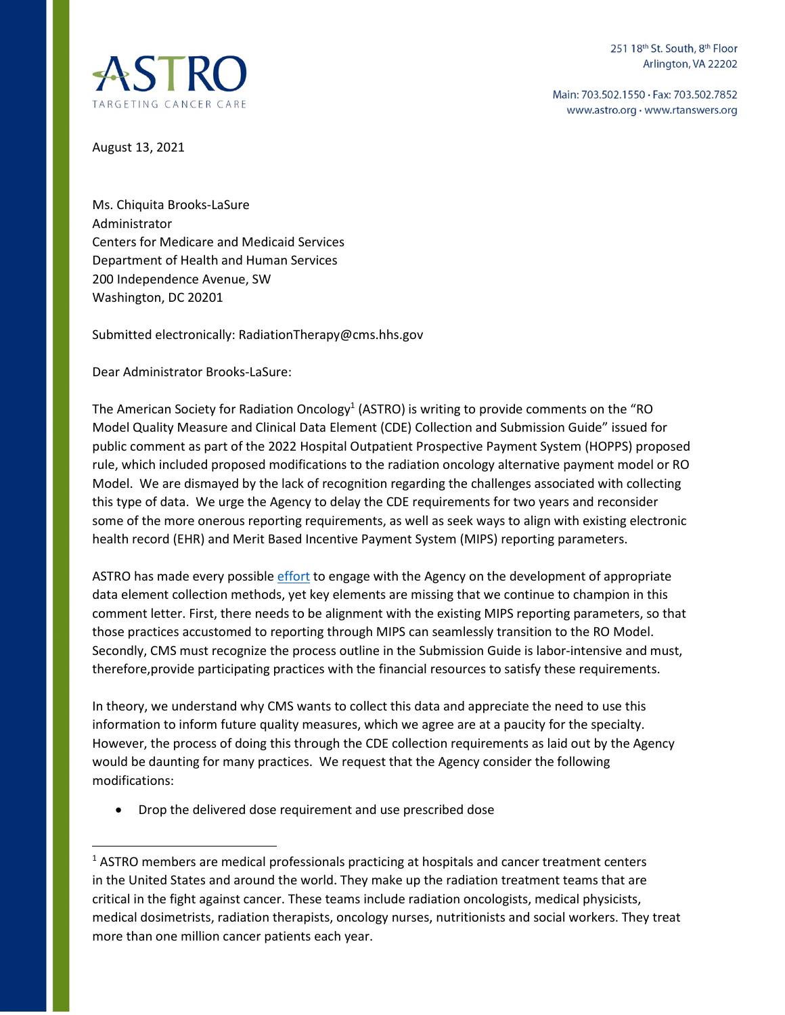

Main: 703.502.1550 · Fax: 703.502.7852 www.astro.org · www.rtanswers.org

August 13, 2021

Ms. Chiquita Brooks-LaSure Administrator Centers for Medicare and Medicaid Services Department of Health and Human Services 200 Independence Avenue, SW Washington, DC 20201

Submitted electronically: RadiationTherapy@cms.hhs.gov

Dear Administrator Brooks-LaSure:

The American Society for Radiation Oncology<sup>1</sup> (ASTRO) is writing to provide comments on the "RO Model Quality Measure and Clinical Data Element (CDE) Collection and Submission Guide" issued for public comment as part of the 2022 Hospital Outpatient Prospective Payment System (HOPPS) proposed rule, which included proposed modifications to the radiation oncology alternative payment model or RO Model. We are dismayed by the lack of recognition regarding the challenges associated with collecting this type of data. We urge the Agency to delay the CDE requirements for two years and reconsider some of the more onerous reporting requirements, as well as seek ways to align with existing electronic health record (EHR) and Merit Based Incentive Payment System (MIPS) reporting parameters.

ASTRO has made every possible [effort](https://www.astro.org/ASTRO/media/ASTRO/Daily%20Practice/PDFs/ROModel_RFI_Comments.pdf) to engage with the Agency on the development of appropriate data element collection methods, yet key elements are missing that we continue to champion in this comment letter. First, there needs to be alignment with the existing MIPS reporting parameters, so that those practices accustomed to reporting through MIPS can seamlessly transition to the RO Model. Secondly, CMS must recognize the process outline in the Submission Guide is labor-intensive and must, therefore,provide participating practices with the financial resources to satisfy these requirements.

In theory, we understand why CMS wants to collect this data and appreciate the need to use this information to inform future quality measures, which we agree are at a paucity for the specialty. However, the process of doing this through the CDE collection requirements as laid out by the Agency would be daunting for many practices. We request that the Agency consider the following modifications:

Drop the delivered dose requirement and use prescribed dose

 $<sup>1</sup>$  ASTRO members are medical professionals practicing at hospitals and cancer treatment centers</sup> in the United States and around the world. They make up the radiation treatment teams that are critical in the fight against cancer. These teams include radiation oncologists, medical physicists, medical dosimetrists, radiation therapists, oncology nurses, nutritionists and social workers. They treat more than one million cancer patients each year.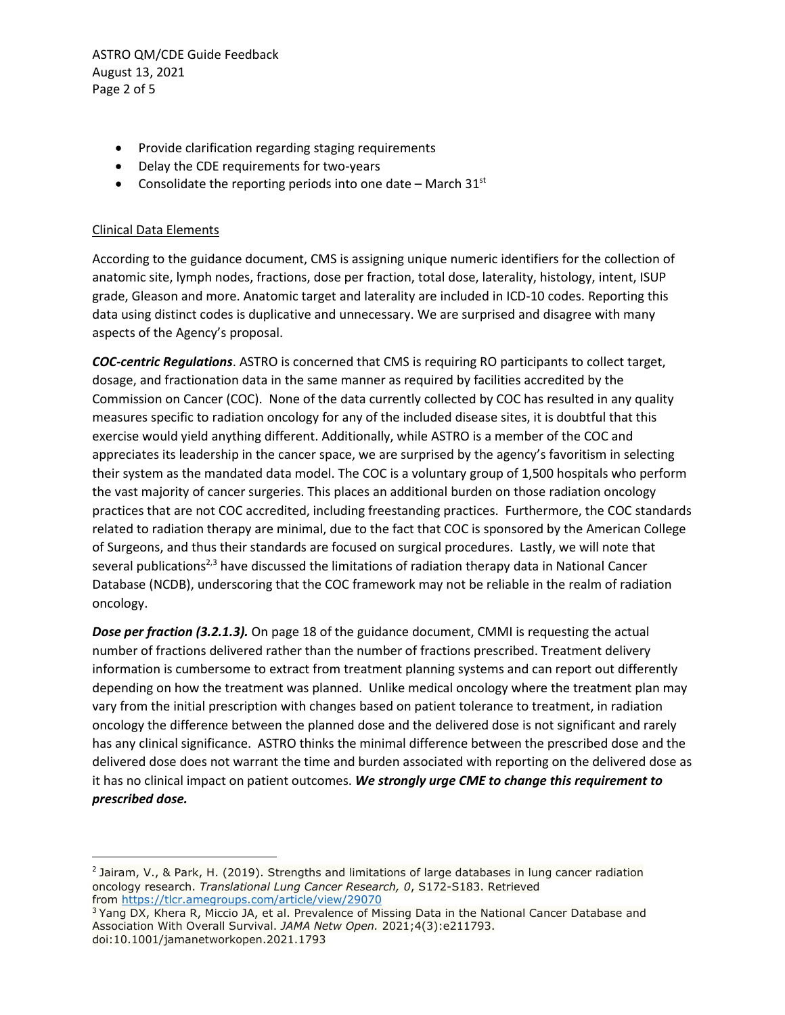ASTRO QM/CDE Guide Feedback August 13, 2021 Page 2 of 5

- Provide clarification regarding staging requirements
- Delay the CDE requirements for two-years
- Consolidate the reporting periods into one date March  $31<sup>st</sup>$

## Clinical Data Elements

According to the guidance document, CMS is assigning unique numeric identifiers for the collection of anatomic site, lymph nodes, fractions, dose per fraction, total dose, laterality, histology, intent, ISUP grade, Gleason and more. Anatomic target and laterality are included in ICD-10 codes. Reporting this data using distinct codes is duplicative and unnecessary. We are surprised and disagree with many aspects of the Agency's proposal.

*COC-centric Regulations*. ASTRO is concerned that CMS is requiring RO participants to collect target, dosage, and fractionation data in the same manner as required by facilities accredited by the Commission on Cancer (COC). None of the data currently collected by COC has resulted in any quality measures specific to radiation oncology for any of the included disease sites, it is doubtful that this exercise would yield anything different. Additionally, while ASTRO is a member of the COC and appreciates its leadership in the cancer space, we are surprised by the agency's favoritism in selecting their system as the mandated data model. The COC is a voluntary group of 1,500 hospitals who perform the vast majority of cancer surgeries. This places an additional burden on those radiation oncology practices that are not COC accredited, including freestanding practices. Furthermore, the COC standards related to radiation therapy are minimal, due to the fact that COC is sponsored by the American College of Surgeons, and thus their standards are focused on surgical procedures. Lastly, we will note that several publications<sup>2,3</sup> have discussed the limitations of radiation therapy data in National Cancer Database (NCDB), underscoring that the COC framework may not be reliable in the realm of radiation oncology.

*Dose per fraction (3.2.1.3).* On page 18 of the guidance document, CMMI is requesting the actual number of fractions delivered rather than the number of fractions prescribed. Treatment delivery information is cumbersome to extract from treatment planning systems and can report out differently depending on how the treatment was planned. Unlike medical oncology where the treatment plan may vary from the initial prescription with changes based on patient tolerance to treatment, in radiation oncology the difference between the planned dose and the delivered dose is not significant and rarely has any clinical significance. ASTRO thinks the minimal difference between the prescribed dose and the delivered dose does not warrant the time and burden associated with reporting on the delivered dose as it has no clinical impact on patient outcomes. *We strongly urge CME to change this requirement to prescribed dose.* 

<sup>&</sup>lt;sup>2</sup> Jairam, V., & Park, H. (2019). Strengths and limitations of large databases in lung cancer radiation oncology research. *Translational Lung Cancer Research, 0*, S172-S183. Retrieved from<https://tlcr.amegroups.com/article/view/29070>

<sup>&</sup>lt;sup>3</sup> Yang DX, Khera R, Miccio JA, et al. Prevalence of Missing Data in the National Cancer Database and Association With Overall Survival. *JAMA Netw Open.* 2021;4(3):e211793. doi:10.1001/jamanetworkopen.2021.1793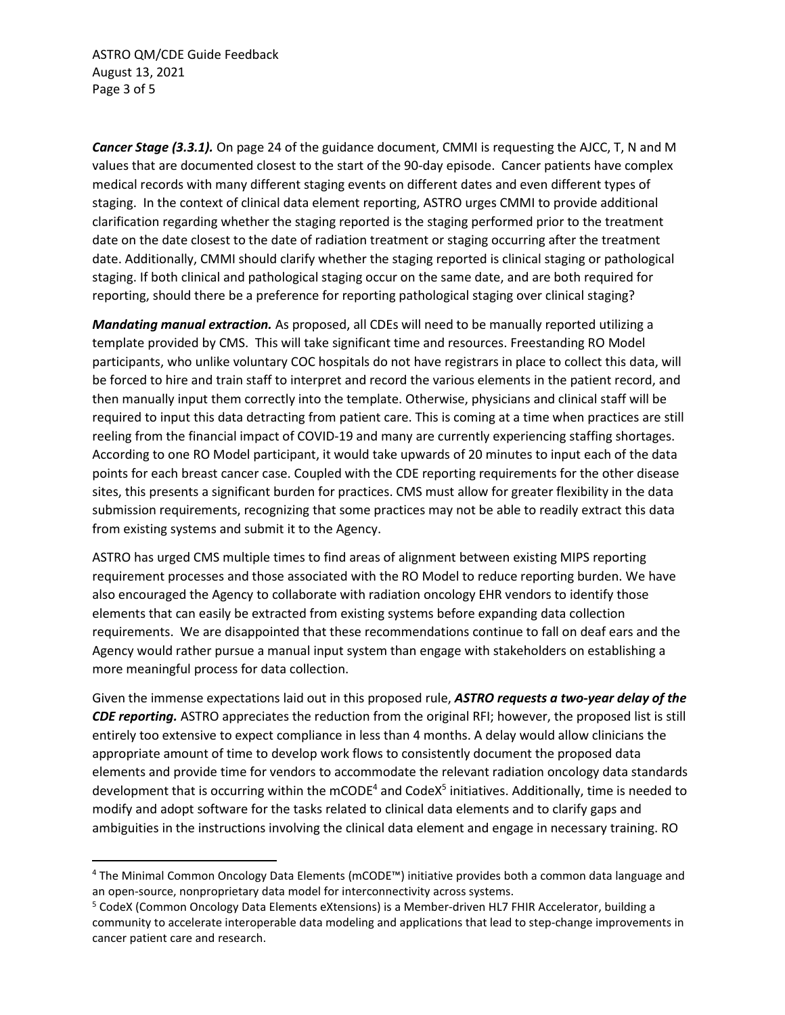ASTRO QM/CDE Guide Feedback August 13, 2021 Page 3 of 5

*Cancer Stage (3.3.1).* On page 24 of the guidance document, CMMI is requesting the AJCC, T, N and M values that are documented closest to the start of the 90-day episode. Cancer patients have complex medical records with many different staging events on different dates and even different types of staging. In the context of clinical data element reporting, ASTRO urges CMMI to provide additional clarification regarding whether the staging reported is the staging performed prior to the treatment date on the date closest to the date of radiation treatment or staging occurring after the treatment date. Additionally, CMMI should clarify whether the staging reported is clinical staging or pathological staging. If both clinical and pathological staging occur on the same date, and are both required for reporting, should there be a preference for reporting pathological staging over clinical staging?

*Mandating manual extraction.* As proposed, all CDEs will need to be manually reported utilizing a template provided by CMS. This will take significant time and resources. Freestanding RO Model participants, who unlike voluntary COC hospitals do not have registrars in place to collect this data, will be forced to hire and train staff to interpret and record the various elements in the patient record, and then manually input them correctly into the template. Otherwise, physicians and clinical staff will be required to input this data detracting from patient care. This is coming at a time when practices are still reeling from the financial impact of COVID-19 and many are currently experiencing staffing shortages. According to one RO Model participant, it would take upwards of 20 minutes to input each of the data points for each breast cancer case. Coupled with the CDE reporting requirements for the other disease sites, this presents a significant burden for practices. CMS must allow for greater flexibility in the data submission requirements, recognizing that some practices may not be able to readily extract this data from existing systems and submit it to the Agency.

ASTRO has urged CMS multiple times to find areas of alignment between existing MIPS reporting requirement processes and those associated with the RO Model to reduce reporting burden. We have also encouraged the Agency to collaborate with radiation oncology EHR vendors to identify those elements that can easily be extracted from existing systems before expanding data collection requirements. We are disappointed that these recommendations continue to fall on deaf ears and the Agency would rather pursue a manual input system than engage with stakeholders on establishing a more meaningful process for data collection.

Given the immense expectations laid out in this proposed rule, *ASTRO requests a two-year delay of the CDE reporting.* ASTRO appreciates the reduction from the original RFI; however, the proposed list is still entirely too extensive to expect compliance in less than 4 months. A delay would allow clinicians the appropriate amount of time to develop work flows to consistently document the proposed data elements and provide time for vendors to accommodate the relevant radiation oncology data standards development that is occurring within the mCODE<sup>4</sup> and CodeX<sup>5</sup> initiatives. Additionally, time is needed to modify and adopt software for the tasks related to clinical data elements and to clarify gaps and ambiguities in the instructions involving the clinical data element and engage in necessary training. RO

<sup>&</sup>lt;sup>4</sup> The Minimal Common Oncology Data Elements (mCODE™) initiative provides both a common data language and an open-source, nonproprietary data model for interconnectivity across systems.

<sup>&</sup>lt;sup>5</sup> CodeX (Common Oncology Data Elements eXtensions) is a Member-driven HL7 FHIR Accelerator, building a community to accelerate interoperable data modeling and applications that lead to step-change improvements in cancer patient care and research.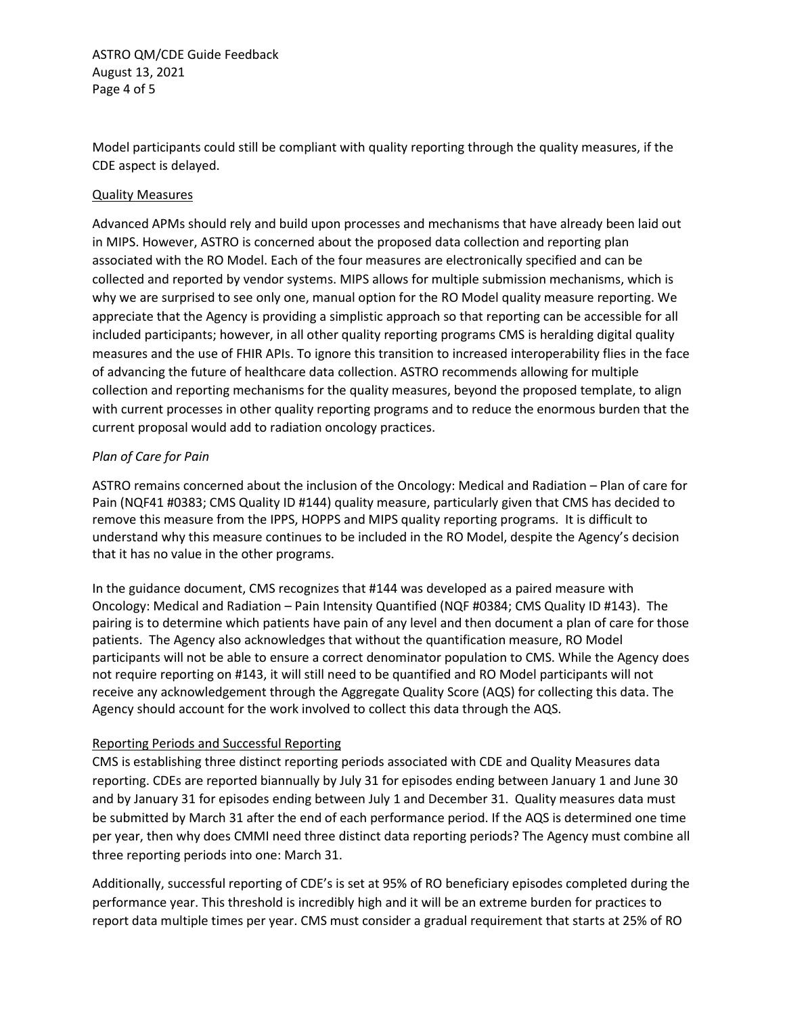ASTRO QM/CDE Guide Feedback August 13, 2021 Page 4 of 5

Model participants could still be compliant with quality reporting through the quality measures, if the CDE aspect is delayed.

## Quality Measures

Advanced APMs should rely and build upon processes and mechanisms that have already been laid out in MIPS. However, ASTRO is concerned about the proposed data collection and reporting plan associated with the RO Model. Each of the four measures are electronically specified and can be collected and reported by vendor systems. MIPS allows for multiple submission mechanisms, which is why we are surprised to see only one, manual option for the RO Model quality measure reporting. We appreciate that the Agency is providing a simplistic approach so that reporting can be accessible for all included participants; however, in all other quality reporting programs CMS is heralding digital quality measures and the use of FHIR APIs. To ignore this transition to increased interoperability flies in the face of advancing the future of healthcare data collection. ASTRO recommends allowing for multiple collection and reporting mechanisms for the quality measures, beyond the proposed template, to align with current processes in other quality reporting programs and to reduce the enormous burden that the current proposal would add to radiation oncology practices.

## *Plan of Care for Pain*

ASTRO remains concerned about the inclusion of the Oncology: Medical and Radiation – Plan of care for Pain (NQF41 #0383; CMS Quality ID #144) quality measure, particularly given that CMS has decided to remove this measure from the IPPS, HOPPS and MIPS quality reporting programs. It is difficult to understand why this measure continues to be included in the RO Model, despite the Agency's decision that it has no value in the other programs.

In the guidance document, CMS recognizes that #144 was developed as a paired measure with Oncology: Medical and Radiation – Pain Intensity Quantified (NQF #0384; CMS Quality ID #143). The pairing is to determine which patients have pain of any level and then document a plan of care for those patients. The Agency also acknowledges that without the quantification measure, RO Model participants will not be able to ensure a correct denominator population to CMS. While the Agency does not require reporting on #143, it will still need to be quantified and RO Model participants will not receive any acknowledgement through the Aggregate Quality Score (AQS) for collecting this data. The Agency should account for the work involved to collect this data through the AQS.

## Reporting Periods and Successful Reporting

CMS is establishing three distinct reporting periods associated with CDE and Quality Measures data reporting. CDEs are reported biannually by July 31 for episodes ending between January 1 and June 30 and by January 31 for episodes ending between July 1 and December 31. Quality measures data must be submitted by March 31 after the end of each performance period. If the AQS is determined one time per year, then why does CMMI need three distinct data reporting periods? The Agency must combine all three reporting periods into one: March 31.

Additionally, successful reporting of CDE's is set at 95% of RO beneficiary episodes completed during the performance year. This threshold is incredibly high and it will be an extreme burden for practices to report data multiple times per year. CMS must consider a gradual requirement that starts at 25% of RO